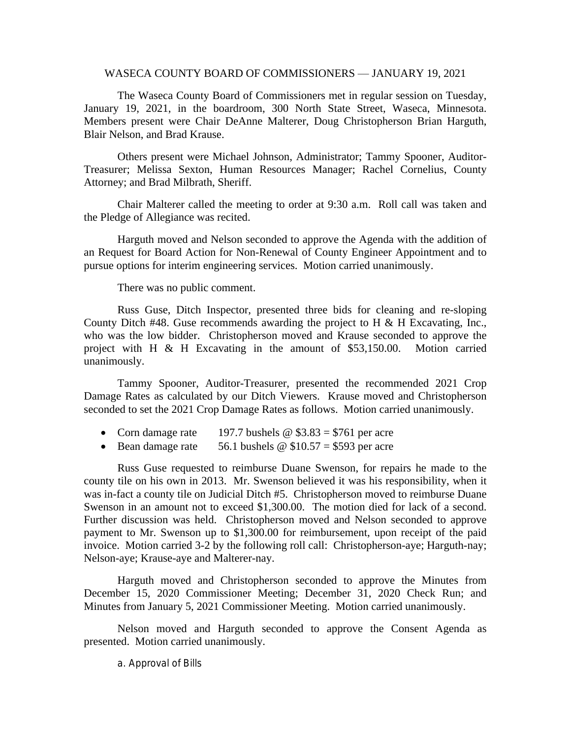## WASECA COUNTY BOARD OF COMMISSIONERS — JANUARY 19, 2021

The Waseca County Board of Commissioners met in regular session on Tuesday, January 19, 2021, in the boardroom, 300 North State Street, Waseca, Minnesota. Members present were Chair DeAnne Malterer, Doug Christopherson Brian Harguth, Blair Nelson, and Brad Krause.

Others present were Michael Johnson, Administrator; Tammy Spooner, Auditor-Treasurer; Melissa Sexton, Human Resources Manager; Rachel Cornelius, County Attorney; and Brad Milbrath, Sheriff.

Chair Malterer called the meeting to order at 9:30 a.m. Roll call was taken and the Pledge of Allegiance was recited.

Harguth moved and Nelson seconded to approve the Agenda with the addition of an Request for Board Action for Non-Renewal of County Engineer Appointment and to pursue options for interim engineering services. Motion carried unanimously.

There was no public comment.

Russ Guse, Ditch Inspector, presented three bids for cleaning and re-sloping County Ditch  $#48$ . Guse recommends awarding the project to H & H Excavating, Inc., who was the low bidder. Christopherson moved and Krause seconded to approve the project with H & H Excavating in the amount of \$53,150.00. Motion carried unanimously.

Tammy Spooner, Auditor-Treasurer, presented the recommended 2021 Crop Damage Rates as calculated by our Ditch Viewers. Krause moved and Christopherson seconded to set the 2021 Crop Damage Rates as follows. Motion carried unanimously.

- Corn damage rate 197.7 bushels  $\omega$  \$3.83 = \$761 per acre
- Bean damage rate 56.1 bushels  $\omega$  \$10.57 = \$593 per acre

Russ Guse requested to reimburse Duane Swenson, for repairs he made to the county tile on his own in 2013. Mr. Swenson believed it was his responsibility, when it was in-fact a county tile on Judicial Ditch #5. Christopherson moved to reimburse Duane Swenson in an amount not to exceed \$1,300.00. The motion died for lack of a second. Further discussion was held. Christopherson moved and Nelson seconded to approve payment to Mr. Swenson up to \$1,300.00 for reimbursement, upon receipt of the paid invoice. Motion carried 3-2 by the following roll call: Christopherson-aye; Harguth-nay; Nelson-aye; Krause-aye and Malterer-nay.

Harguth moved and Christopherson seconded to approve the Minutes from December 15, 2020 Commissioner Meeting; December 31, 2020 Check Run; and Minutes from January 5, 2021 Commissioner Meeting. Motion carried unanimously.

Nelson moved and Harguth seconded to approve the Consent Agenda as presented. Motion carried unanimously.

a. Approval of Bills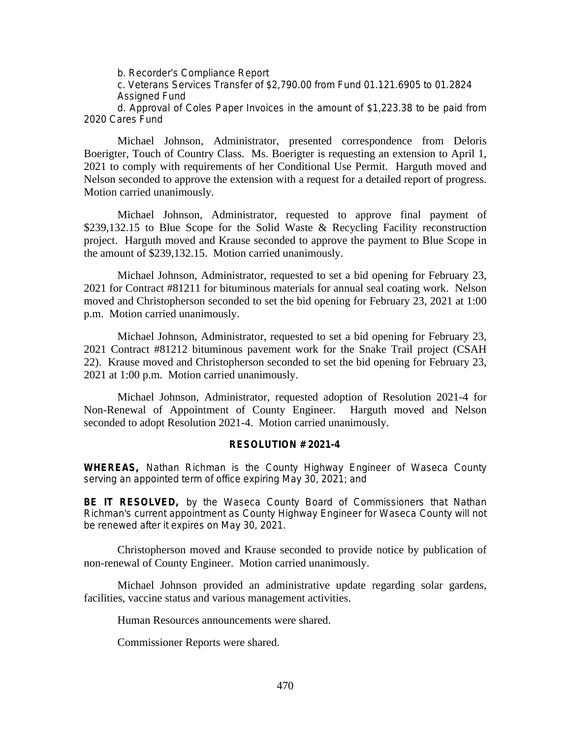b. Recorder's Compliance Report

c. Veterans Services Transfer of \$2,790.00 from Fund 01.121.6905 to 01.2824 Assigned Fund

d. Approval of Coles Paper Invoices in the amount of \$1,223.38 to be paid from 2020 Cares Fund

Michael Johnson, Administrator, presented correspondence from Deloris Boerigter, Touch of Country Class. Ms. Boerigter is requesting an extension to April 1, 2021 to comply with requirements of her Conditional Use Permit. Harguth moved and Nelson seconded to approve the extension with a request for a detailed report of progress. Motion carried unanimously.

Michael Johnson, Administrator, requested to approve final payment of \$239,132.15 to Blue Scope for the Solid Waste & Recycling Facility reconstruction project. Harguth moved and Krause seconded to approve the payment to Blue Scope in the amount of \$239,132.15. Motion carried unanimously.

Michael Johnson, Administrator, requested to set a bid opening for February 23, 2021 for Contract #81211 for bituminous materials for annual seal coating work. Nelson moved and Christopherson seconded to set the bid opening for February 23, 2021 at 1:00 p.m. Motion carried unanimously.

Michael Johnson, Administrator, requested to set a bid opening for February 23, 2021 Contract #81212 bituminous pavement work for the Snake Trail project (CSAH 22). Krause moved and Christopherson seconded to set the bid opening for February 23, 2021 at 1:00 p.m. Motion carried unanimously.

Michael Johnson, Administrator, requested adoption of Resolution 2021-4 for Non-Renewal of Appointment of County Engineer. Harguth moved and Nelson seconded to adopt Resolution 2021-4. Motion carried unanimously.

## **RESOLUTION # 2021-4**

**WHEREAS,** Nathan Richman is the County Highway Engineer of Waseca County serving an appointed term of office expiring May 30, 2021; and

**BE IT RESOLVED,** by the Waseca County Board of Commissioners that Nathan Richman's current appointment as County Highway Engineer for Waseca County will not be renewed after it expires on May 30, 2021.

Christopherson moved and Krause seconded to provide notice by publication of non-renewal of County Engineer. Motion carried unanimously.

Michael Johnson provided an administrative update regarding solar gardens, facilities, vaccine status and various management activities.

Human Resources announcements were shared.

Commissioner Reports were shared.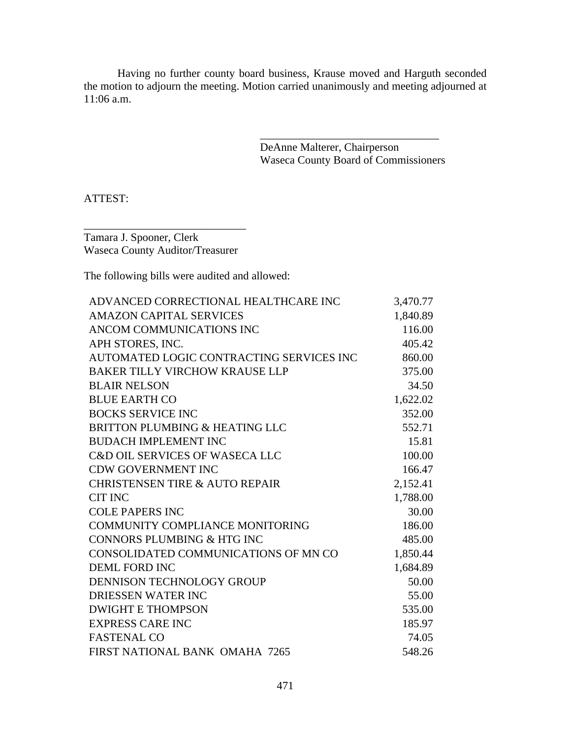Having no further county board business, Krause moved and Harguth seconded the motion to adjourn the meeting. Motion carried unanimously and meeting adjourned at 11:06 a.m.

> DeAnne Malterer, Chairperson Waseca County Board of Commissioners

\_\_\_\_\_\_\_\_\_\_\_\_\_\_\_\_\_\_\_\_\_\_\_\_\_\_\_\_\_\_\_\_

ATTEST:

Tamara J. Spooner, Clerk Waseca County Auditor/Treasurer

\_\_\_\_\_\_\_\_\_\_\_\_\_\_\_\_\_\_\_\_\_\_\_\_\_\_\_\_\_

The following bills were audited and allowed:

| ADVANCED CORRECTIONAL HEALTHCARE INC      | 3,470.77 |
|-------------------------------------------|----------|
| <b>AMAZON CAPITAL SERVICES</b>            | 1,840.89 |
| ANCOM COMMUNICATIONS INC                  | 116.00   |
| APH STORES, INC.                          | 405.42   |
| AUTOMATED LOGIC CONTRACTING SERVICES INC  | 860.00   |
| <b>BAKER TILLY VIRCHOW KRAUSE LLP</b>     | 375.00   |
| <b>BLAIR NELSON</b>                       | 34.50    |
| <b>BLUE EARTH CO</b>                      | 1,622.02 |
| <b>BOCKS SERVICE INC</b>                  | 352.00   |
| BRITTON PLUMBING & HEATING LLC            | 552.71   |
| <b>BUDACH IMPLEMENT INC</b>               | 15.81    |
| <b>C&amp;D OIL SERVICES OF WASECA LLC</b> | 100.00   |
| <b>CDW GOVERNMENT INC</b>                 | 166.47   |
| <b>CHRISTENSEN TIRE &amp; AUTO REPAIR</b> | 2,152.41 |
| <b>CIT INC</b>                            | 1,788.00 |
| <b>COLE PAPERS INC</b>                    | 30.00    |
| <b>COMMUNITY COMPLIANCE MONITORING</b>    | 186.00   |
| CONNORS PLUMBING & HTG INC                | 485.00   |
| CONSOLIDATED COMMUNICATIONS OF MN CO      | 1,850.44 |
| <b>DEML FORD INC</b>                      | 1,684.89 |
| DENNISON TECHNOLOGY GROUP                 | 50.00    |
| DRIESSEN WATER INC                        | 55.00    |
| <b>DWIGHT E THOMPSON</b>                  | 535.00   |
| <b>EXPRESS CARE INC</b>                   | 185.97   |
| <b>FASTENAL CO</b>                        | 74.05    |
| FIRST NATIONAL BANK OMAHA 7265            | 548.26   |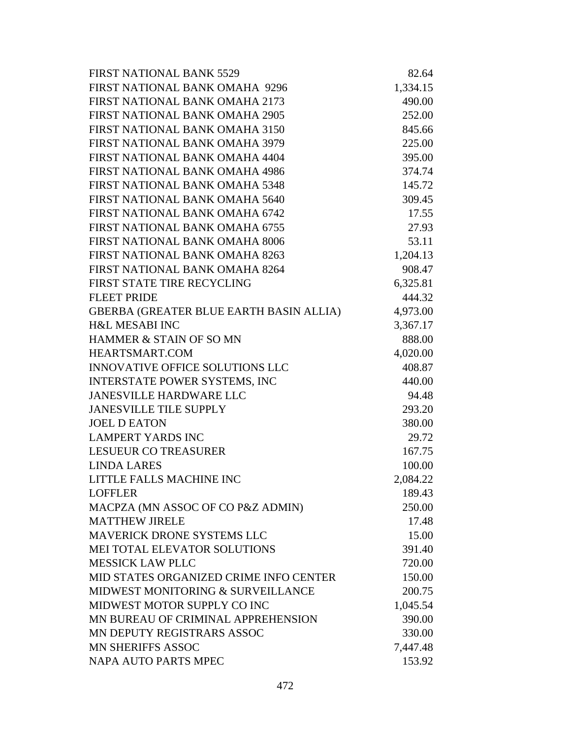| <b>FIRST NATIONAL BANK 5529</b>         | 82.64    |
|-----------------------------------------|----------|
| FIRST NATIONAL BANK OMAHA 9296          | 1,334.15 |
| FIRST NATIONAL BANK OMAHA 2173          | 490.00   |
| FIRST NATIONAL BANK OMAHA 2905          | 252.00   |
| FIRST NATIONAL BANK OMAHA 3150          | 845.66   |
| FIRST NATIONAL BANK OMAHA 3979          | 225.00   |
| FIRST NATIONAL BANK OMAHA 4404          | 395.00   |
| FIRST NATIONAL BANK OMAHA 4986          | 374.74   |
| FIRST NATIONAL BANK OMAHA 5348          | 145.72   |
| FIRST NATIONAL BANK OMAHA 5640          | 309.45   |
| FIRST NATIONAL BANK OMAHA 6742          | 17.55    |
| FIRST NATIONAL BANK OMAHA 6755          | 27.93    |
| FIRST NATIONAL BANK OMAHA 8006          | 53.11    |
| FIRST NATIONAL BANK OMAHA 8263          | 1,204.13 |
| FIRST NATIONAL BANK OMAHA 8264          | 908.47   |
| FIRST STATE TIRE RECYCLING              | 6,325.81 |
| <b>FLEET PRIDE</b>                      | 444.32   |
| GBERBA (GREATER BLUE EARTH BASIN ALLIA) | 4,973.00 |
| <b>H&amp;L MESABI INC</b>               | 3,367.17 |
| HAMMER & STAIN OF SO MN                 | 888.00   |
| HEARTSMART.COM                          | 4,020.00 |
| <b>INNOVATIVE OFFICE SOLUTIONS LLC</b>  | 408.87   |
| <b>INTERSTATE POWER SYSTEMS, INC</b>    | 440.00   |
| <b>JANESVILLE HARDWARE LLC</b>          | 94.48    |
| <b>JANESVILLE TILE SUPPLY</b>           | 293.20   |
| <b>JOEL D EATON</b>                     | 380.00   |
| <b>LAMPERT YARDS INC</b>                | 29.72    |
| <b>LESUEUR CO TREASURER</b>             | 167.75   |
| <b>LINDA LARES</b>                      | 100.00   |
| LITTLE FALLS MACHINE INC                | 2,084.22 |
| <b>LOFFLER</b>                          | 189.43   |
| MACPZA (MN ASSOC OF CO P&Z ADMIN)       | 250.00   |
| <b>MATTHEW JIRELE</b>                   | 17.48    |
| <b>MAVERICK DRONE SYSTEMS LLC</b>       | 15.00    |
| MEI TOTAL ELEVATOR SOLUTIONS            | 391.40   |
| <b>MESSICK LAW PLLC</b>                 | 720.00   |
| MID STATES ORGANIZED CRIME INFO CENTER  | 150.00   |
| MIDWEST MONITORING & SURVEILLANCE       | 200.75   |
| MIDWEST MOTOR SUPPLY CO INC             | 1,045.54 |
| MN BUREAU OF CRIMINAL APPREHENSION      | 390.00   |
| MN DEPUTY REGISTRARS ASSOC              | 330.00   |
| <b>MN SHERIFFS ASSOC</b>                | 7,447.48 |
| NAPA AUTO PARTS MPEC                    | 153.92   |